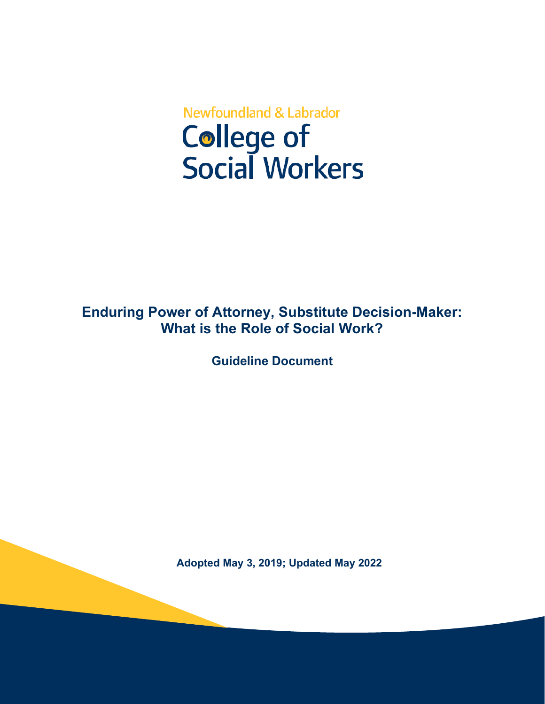# **Newfoundland & Labrador College of<br>Social Workers**

## **Enduring Power of Attorney, Substitute Decision-Maker: What is the Role of Social Work?**

**Guideline Document** 

**Adopted May 3, 2019; Updated May 2022**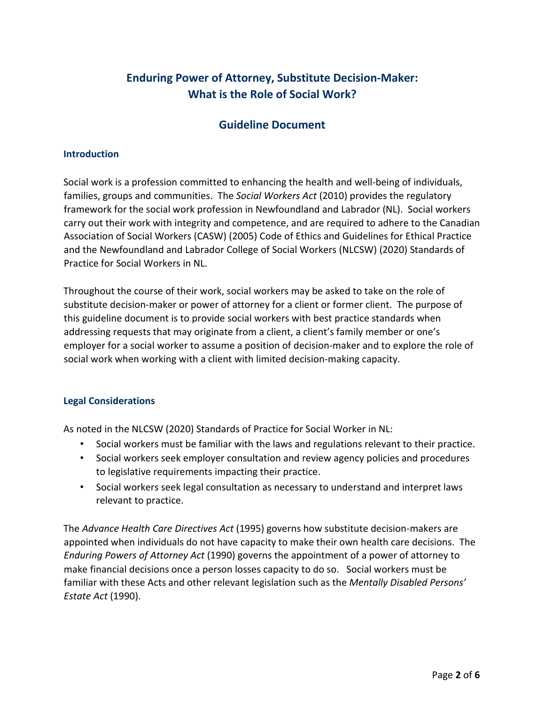## **Enduring Power of Attorney, Substitute Decision-Maker: What is the Role of Social Work?**

### **Guideline Document**

#### **Introduction**

Social work is a profession committed to enhancing the health and well-being of individuals, families, groups and communities. The *Social Workers Act* (2010) provides the regulatory framework for the social work profession in Newfoundland and Labrador (NL). Social workers carry out their work with integrity and competence, and are required to adhere to the Canadian Association of Social Workers (CASW) (2005) Code of Ethics and Guidelines for Ethical Practice and the Newfoundland and Labrador College of Social Workers (NLCSW) (2020) Standards of Practice for Social Workers in NL.

Throughout the course of their work, social workers may be asked to take on the role of substitute decision-maker or power of attorney for a client or former client. The purpose of this guideline document is to provide social workers with best practice standards when addressing requests that may originate from a client, a client's family member or one's employer for a social worker to assume a position of decision-maker and to explore the role of social work when working with a client with limited decision-making capacity.

#### **Legal Considerations**

As noted in the NLCSW (2020) Standards of Practice for Social Worker in NL:

- Social workers must be familiar with the laws and regulations relevant to their practice.
- Social workers seek employer consultation and review agency policies and procedures to legislative requirements impacting their practice.
- Social workers seek legal consultation as necessary to understand and interpret laws relevant to practice.

The *Advance Health Care Directives Act* (1995) governs how substitute decision-makers are appointed when individuals do not have capacity to make their own health care decisions. The *Enduring Powers of Attorney Act* (1990) governs the appointment of a power of attorney to make financial decisions once a person losses capacity to do so. Social workers must be familiar with these Acts and other relevant legislation such as the *Mentally Disabled Persons' Estate Act* (1990).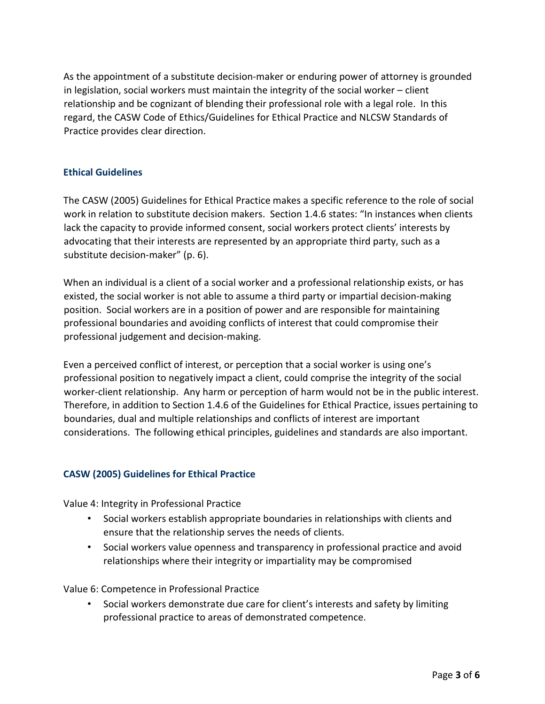As the appointment of a substitute decision-maker or enduring power of attorney is grounded in legislation, social workers must maintain the integrity of the social worker – client relationship and be cognizant of blending their professional role with a legal role. In this regard, the CASW Code of Ethics/Guidelines for Ethical Practice and NLCSW Standards of Practice provides clear direction.

#### **Ethical Guidelines**

The CASW (2005) Guidelines for Ethical Practice makes a specific reference to the role of social work in relation to substitute decision makers. Section 1.4.6 states: "In instances when clients lack the capacity to provide informed consent, social workers protect clients' interests by advocating that their interests are represented by an appropriate third party, such as a substitute decision-maker" (p. 6).

When an individual is a client of a social worker and a professional relationship exists, or has existed, the social worker is not able to assume a third party or impartial decision-making position. Social workers are in a position of power and are responsible for maintaining professional boundaries and avoiding conflicts of interest that could compromise their professional judgement and decision-making.

Even a perceived conflict of interest, or perception that a social worker is using one's professional position to negatively impact a client, could comprise the integrity of the social worker-client relationship. Any harm or perception of harm would not be in the public interest. Therefore, in addition to Section 1.4.6 of the Guidelines for Ethical Practice, issues pertaining to boundaries, dual and multiple relationships and conflicts of interest are important considerations. The following ethical principles, guidelines and standards are also important.

#### **CASW (2005) Guidelines for Ethical Practice**

Value 4: Integrity in Professional Practice

- Social workers establish appropriate boundaries in relationships with clients and ensure that the relationship serves the needs of clients.
- Social workers value openness and transparency in professional practice and avoid relationships where their integrity or impartiality may be compromised

Value 6: Competence in Professional Practice

• Social workers demonstrate due care for client's interests and safety by limiting professional practice to areas of demonstrated competence.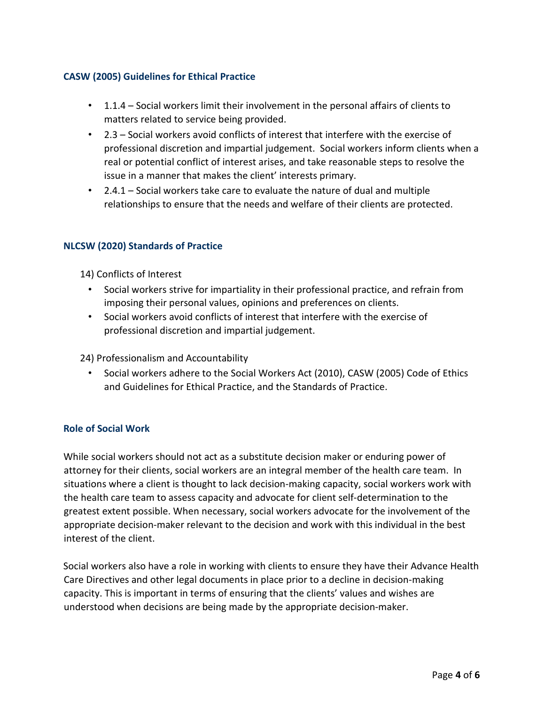#### **CASW (2005) Guidelines for Ethical Practice**

- 1.1.4 Social workers limit their involvement in the personal affairs of clients to matters related to service being provided.
- 2.3 Social workers avoid conflicts of interest that interfere with the exercise of professional discretion and impartial judgement. Social workers inform clients when a real or potential conflict of interest arises, and take reasonable steps to resolve the issue in a manner that makes the client' interests primary.
- 2.4.1 Social workers take care to evaluate the nature of dual and multiple relationships to ensure that the needs and welfare of their clients are protected.

#### **NLCSW (2020) Standards of Practice**

14) Conflicts of Interest

- Social workers strive for impartiality in their professional practice, and refrain from imposing their personal values, opinions and preferences on clients.
- Social workers avoid conflicts of interest that interfere with the exercise of professional discretion and impartial judgement.
- 24) Professionalism and Accountability
	- Social workers adhere to the Social Workers Act (2010), CASW (2005) Code of Ethics and Guidelines for Ethical Practice, and the Standards of Practice.

#### **Role of Social Work**

While social workers should not act as a substitute decision maker or enduring power of attorney for their clients, social workers are an integral member of the health care team. In situations where a client is thought to lack decision-making capacity, social workers work with the health care team to assess capacity and advocate for client self-determination to the greatest extent possible. When necessary, social workers advocate for the involvement of the appropriate decision-maker relevant to the decision and work with this individual in the best interest of the client.

Social workers also have a role in working with clients to ensure they have their Advance Health Care Directives and other legal documents in place prior to a decline in decision-making capacity. This is important in terms of ensuring that the clients' values and wishes are understood when decisions are being made by the appropriate decision-maker.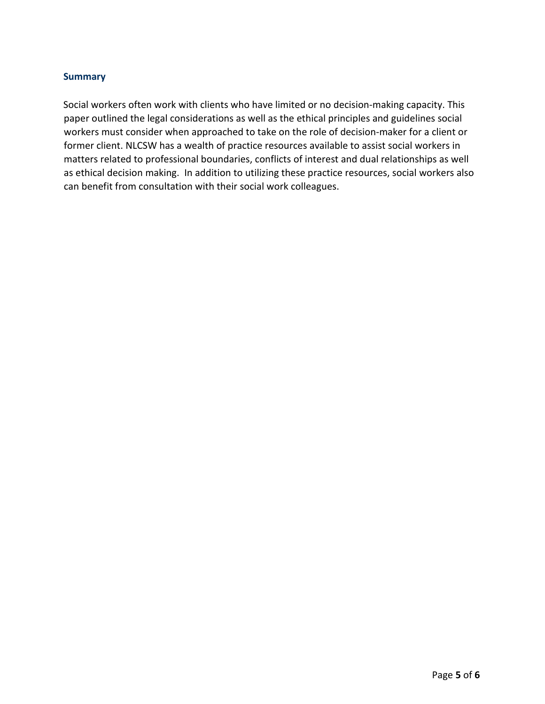#### **Summary**

Social workers often work with clients who have limited or no decision-making capacity. This paper outlined the legal considerations as well as the ethical principles and guidelines social workers must consider when approached to take on the role of decision-maker for a client or former client. NLCSW has a wealth of practice resources available to assist social workers in matters related to professional boundaries, conflicts of interest and dual relationships as well as ethical decision making. In addition to utilizing these practice resources, social workers also can benefit from consultation with their social work colleagues.